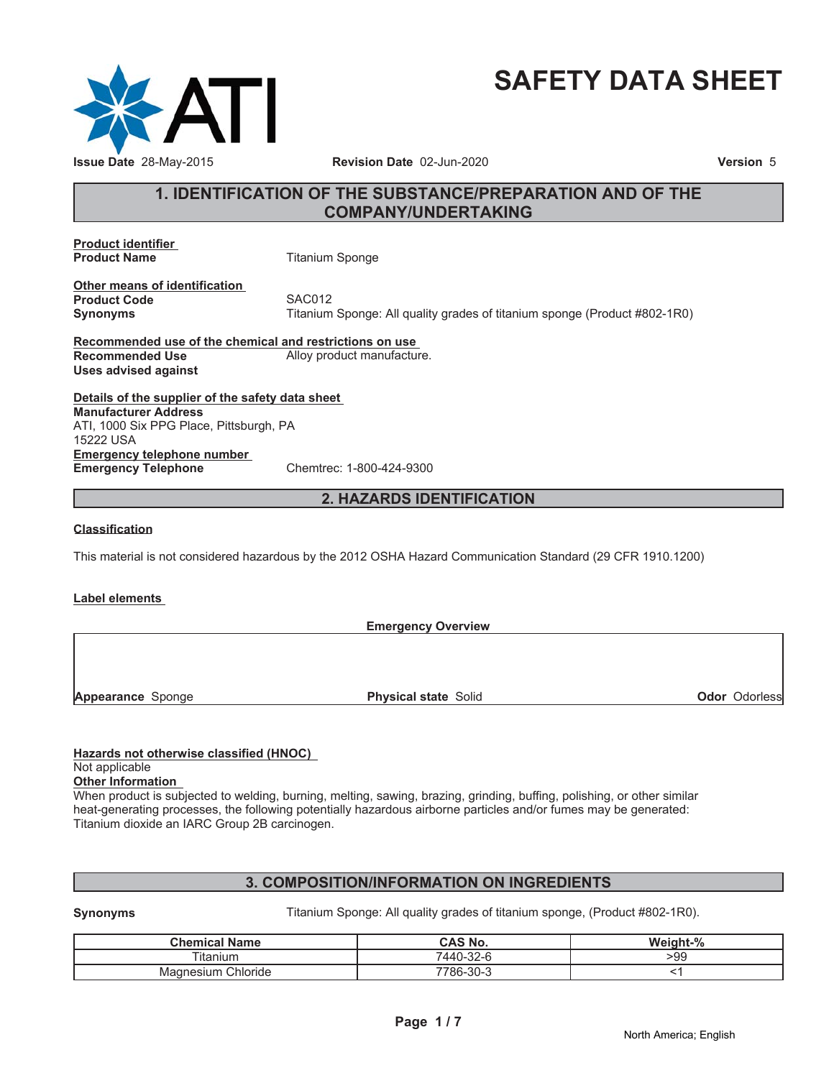

# **SAFETY DATA SHEET**

# **1. IDENTIFICATION OF THE SUBSTANCE/PREPARATION AND OF THE COMPANY/UNDERTAKING**

**Product identifier Product Name** Titanium Sponge

**Other means of identification Product Code SAC012** 

**Synonyms** Titanium Sponge: All quality grades of titanium sponge (Product #802-1R0)

**Recommended use of the chemical and restrictions on use Recommended Use** Alloy product manufacture. **Uses advised against**

**Details of the supplier of the safety data sheet Emergency telephone number Emergency Telephone** Chemtrec: 1-800-424-9300 **Manufacturer Address** ATI, 1000 Six PPG Place, Pittsburgh, PA 15222 USA

# **2. HAZARDS IDENTIFICATION**

#### **Classification**

This material is not considered hazardous by the 2012 OSHA Hazard Communication Standard (29 CFR 1910.1200)

#### **Label elements**

**Emergency Overview Appearance** Sponge **Physical state** Solid **Odor** Odorless

#### **Hazards not otherwise classified (HNOC)** Not applicable

# **Other Information**

When product is subjected to welding, burning, melting, sawing, brazing, grinding, buffing, polishing, or other similar heat-generating processes, the following potentially hazardous airborne particles and/or fumes may be generated: Titanium dioxide an IARC Group 2B carcinogen.

# **3. COMPOSITION/INFORMATION ON INGREDIENTS**

**Synonyms** Titanium Sponge: All quality grades of titanium sponge, (Product #802-1R0).

| <b>Chemical Name</b>  | CAS No.   | Weight-% |
|-----------------------|-----------|----------|
| Titanium              | 7440-32-6 | -99      |
| Chloride<br>Magnesium | 7786-30-3 |          |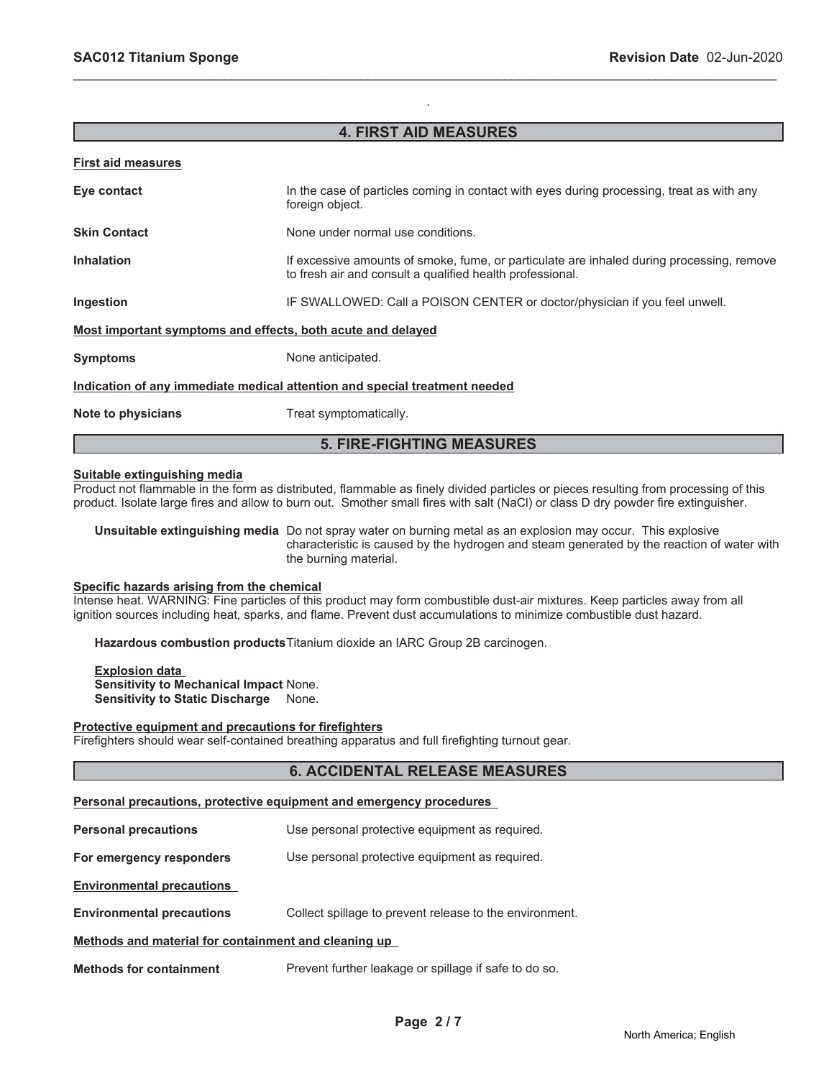# **4. FIRST AID MEASURES**

.

\_\_\_\_\_\_\_\_\_\_\_\_\_\_\_\_\_\_\_\_\_\_\_\_\_\_\_\_\_\_\_\_\_\_\_\_\_\_\_\_\_\_\_\_\_\_\_\_\_\_\_\_\_\_\_\_\_\_\_\_\_\_\_\_\_\_\_\_\_\_\_\_\_\_\_\_\_\_\_\_\_\_\_\_\_\_\_\_\_\_\_\_\_

#### **First aid measures**

| Eye contact                                                                | In the case of particles coming in contact with eyes during processing, treat as with any<br>foreign object.                                           |  |
|----------------------------------------------------------------------------|--------------------------------------------------------------------------------------------------------------------------------------------------------|--|
| <b>Skin Contact</b>                                                        | None under normal use conditions.                                                                                                                      |  |
| <b>Inhalation</b>                                                          | If excessive amounts of smoke, fume, or particulate are inhaled during processing, remove<br>to fresh air and consult a qualified health professional. |  |
| Ingestion                                                                  | IF SWALLOWED: Call a POISON CENTER or doctor/physician if you feel unwell.                                                                             |  |
| Most important symptoms and effects, both acute and delayed                |                                                                                                                                                        |  |
| <b>Symptoms</b>                                                            | None anticipated.                                                                                                                                      |  |
| Indication of any immediate medical attention and special treatment needed |                                                                                                                                                        |  |
| Note to physicians                                                         | Treat symptomatically.                                                                                                                                 |  |
| <b>5. FIRE-FIGHTING MEASURES</b>                                           |                                                                                                                                                        |  |

#### **Suitable extinguishing media**

Product not flammable in the form as distributed, flammable as finely divided particles or pieces resulting from processing of this product. Isolate large fires and allow to burn out. Smother small fires with salt (NaCl) or class D dry powder fire extinguisher.

**Unsuitable extinguishing media** Do not spray water on burning metal as an explosion may occur. This explosive characteristic is caused by the hydrogen and steam generated by the reaction of water with the burning material.

#### **Specific hazards arising from the chemical**

Intense heat. WARNING: Fine particles of this product may form combustible dust-air mixtures. Keep particles away from all ignition sources including heat, sparks, and flame. Prevent dust accumulations to minimize combustible dust hazard.

**Hazardous combustion products**Titanium dioxide an IARC Group 2B carcinogen.

**Explosion data Sensitivity to Mechanical Impact** None. **Sensitivity to Static Discharge** None.

#### **Protective equipment and precautions for firefighters**

Firefighters should wear self-contained breathing apparatus and full firefighting turnout gear.

# **6. ACCIDENTAL RELEASE MEASURES**

#### **Personal precautions, protective equipment and emergency procedures**

**Personal precautions** Use personal protective equipment as required.

**For emergency responders** Use personal protective equipment as required.

**Environmental precautions**

**Environmental precautions** Collect spillage to prevent release to the environment.

#### **Methods and material for containment and cleaning up**

**Methods for containment** Prevent further leakage or spillage if safe to do so.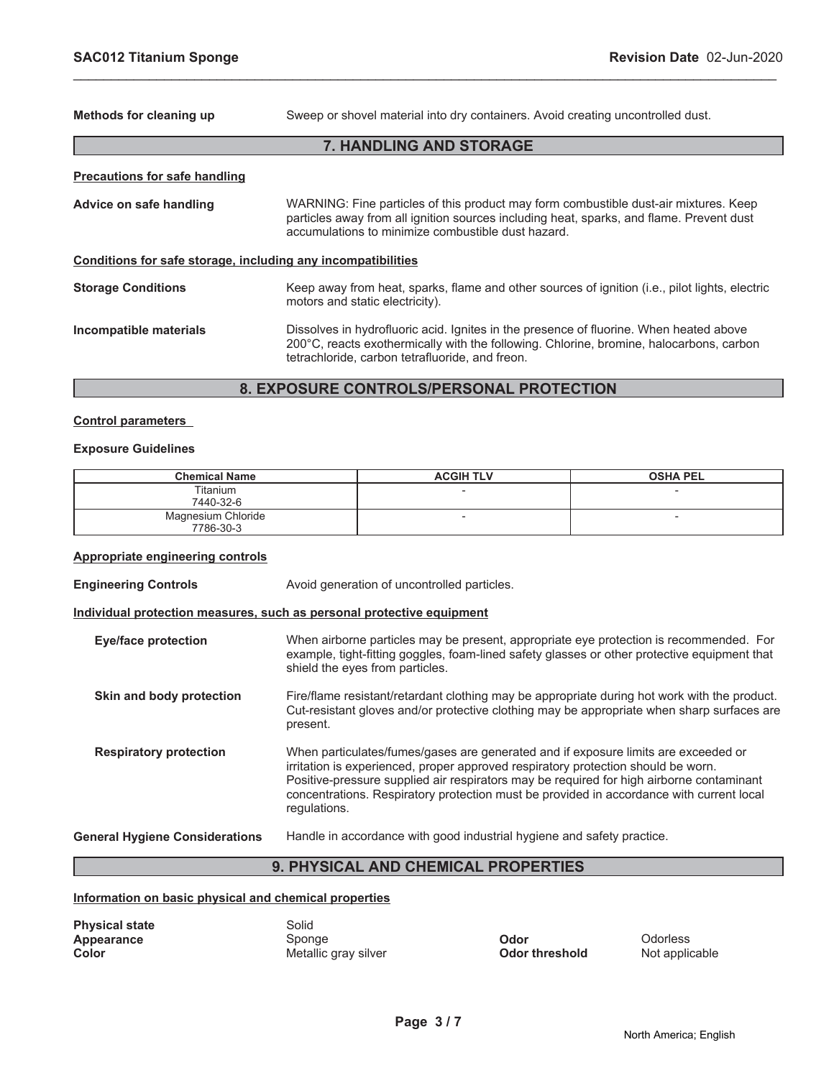**Methods for cleaning up** Sweep or shovel material into dry containers. Avoid creating uncontrolled dust.

# **7. HANDLING AND STORAGE**

\_\_\_\_\_\_\_\_\_\_\_\_\_\_\_\_\_\_\_\_\_\_\_\_\_\_\_\_\_\_\_\_\_\_\_\_\_\_\_\_\_\_\_\_\_\_\_\_\_\_\_\_\_\_\_\_\_\_\_\_\_\_\_\_\_\_\_\_\_\_\_\_\_\_\_\_\_\_\_\_\_\_\_\_\_\_\_\_\_\_\_\_\_

| <b>Precautions for safe handling</b>                         |                                                                                                                                                                                                                                        |
|--------------------------------------------------------------|----------------------------------------------------------------------------------------------------------------------------------------------------------------------------------------------------------------------------------------|
| Advice on safe handling                                      | WARNING: Fine particles of this product may form combustible dust-air mixtures. Keep<br>particles away from all ignition sources including heat, sparks, and flame. Prevent dust<br>accumulations to minimize combustible dust hazard. |
| Conditions for safe storage, including any incompatibilities |                                                                                                                                                                                                                                        |
| <b>Storage Conditions</b>                                    | Keep away from heat, sparks, flame and other sources of ignition (i.e., pilot lights, electric<br>motors and static electricity).                                                                                                      |
| Incompatible materials                                       | Dissolves in hydrofluoric acid. Ignites in the presence of fluorine. When heated above<br>200°C, reacts exothermically with the following. Chlorine, bromine, halocarbons, carbon<br>tetrachloride, carbon tetrafluoride, and freon.   |

# **8. EXPOSURE CONTROLS/PERSONAL PROTECTION**

#### **Control parameters**

#### **Exposure Guidelines**

| <b>Chemical Name</b> | <b>ACGIH TLV</b> | <b>OSHA PEL</b>          |
|----------------------|------------------|--------------------------|
| Titanium             |                  | $\overline{\phantom{a}}$ |
| 7440-32-6            |                  |                          |
| Magnesium Chloride   |                  | $\overline{\phantom{a}}$ |
| 7786-30-3            |                  |                          |

#### **Appropriate engineering controls**

**Engineering Controls Avoid generation of uncontrolled particles.** 

#### **Individual protection measures, such as personal protective equipment**

| <b>Eye/face protection</b>            | When airborne particles may be present, appropriate eye protection is recommended. For<br>example, tight-fitting goggles, foam-lined safety glasses or other protective equipment that<br>shield the eyes from particles.                                                                                                                                                       |
|---------------------------------------|---------------------------------------------------------------------------------------------------------------------------------------------------------------------------------------------------------------------------------------------------------------------------------------------------------------------------------------------------------------------------------|
| Skin and body protection              | Fire/flame resistant/retardant clothing may be appropriate during hot work with the product.<br>Cut-resistant gloves and/or protective clothing may be appropriate when sharp surfaces are<br>present.                                                                                                                                                                          |
| <b>Respiratory protection</b>         | When particulates/fumes/gases are generated and if exposure limits are exceeded or<br>irritation is experienced, proper approved respiratory protection should be worn.<br>Positive-pressure supplied air respirators may be required for high airborne contaminant<br>concentrations. Respiratory protection must be provided in accordance with current local<br>regulations. |
| <b>General Hygiene Considerations</b> | Handle in accordance with good industrial hygiene and safety practice.                                                                                                                                                                                                                                                                                                          |

# **9. PHYSICAL AND CHEMICAL PROPERTIES**

### **Information on basic physical and chemical properties**

| <b>Physical state</b> | Solid                |                       |           |
|-----------------------|----------------------|-----------------------|-----------|
| Appearance            | Sponge               | Odor                  | Odorless  |
| Color                 | Metallic gray silver | <b>Odor threshold</b> | Not appli |

**Color threshold** Mot applicable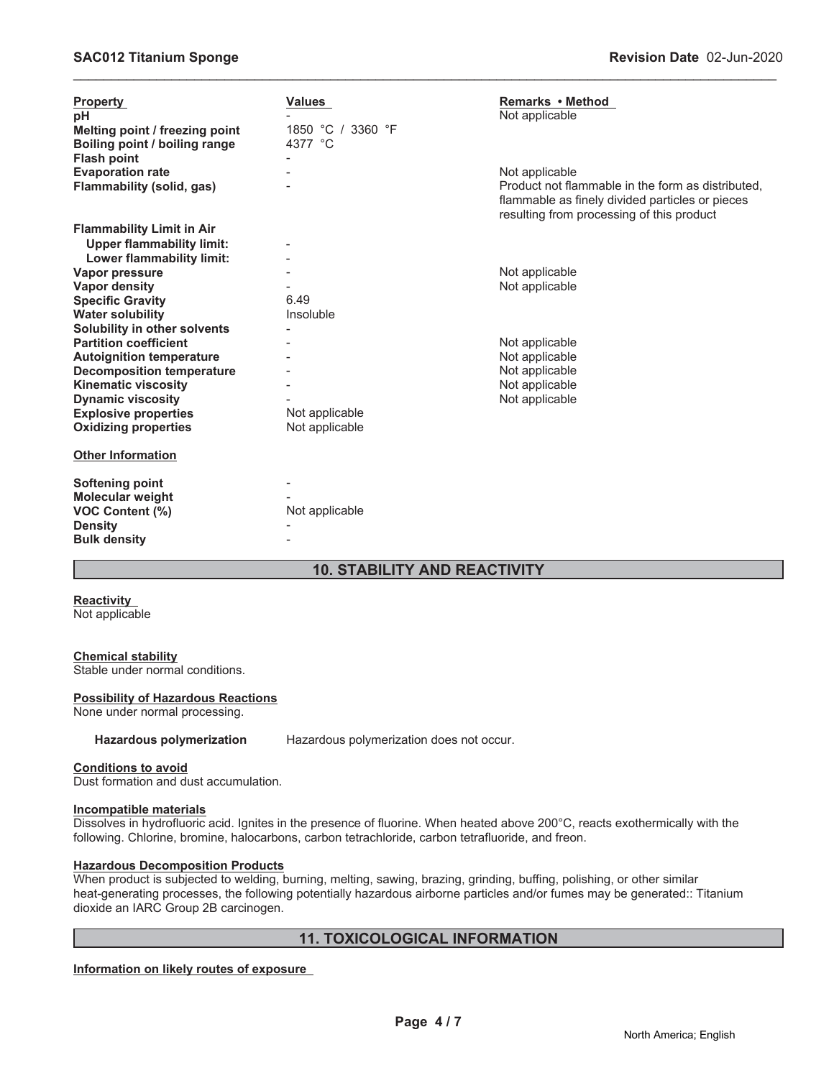| <b>Property</b><br>рH<br>Melting point / freezing point<br>Boiling point / boiling range<br><b>Flash point</b> | <b>Values</b><br>1850 °C / 3360 °F<br>4377 °C | <b>Remarks • Method</b><br>Not applicable                                                                                                                           |
|----------------------------------------------------------------------------------------------------------------|-----------------------------------------------|---------------------------------------------------------------------------------------------------------------------------------------------------------------------|
| <b>Evaporation rate</b><br>Flammability (solid, gas)                                                           |                                               | Not applicable<br>Product not flammable in the form as distributed.<br>flammable as finely divided particles or pieces<br>resulting from processing of this product |
| <b>Flammability Limit in Air</b>                                                                               |                                               |                                                                                                                                                                     |
| <b>Upper flammability limit:</b>                                                                               |                                               |                                                                                                                                                                     |
| <b>Lower flammability limit:</b>                                                                               |                                               |                                                                                                                                                                     |
| Vapor pressure                                                                                                 |                                               | Not applicable                                                                                                                                                      |
| <b>Vapor density</b>                                                                                           |                                               | Not applicable                                                                                                                                                      |
| <b>Specific Gravity</b>                                                                                        | 6.49                                          |                                                                                                                                                                     |
| <b>Water solubility</b>                                                                                        | Insoluble                                     |                                                                                                                                                                     |
| Solubility in other solvents<br><b>Partition coefficient</b>                                                   |                                               |                                                                                                                                                                     |
| <b>Autoignition temperature</b>                                                                                |                                               | Not applicable<br>Not applicable                                                                                                                                    |
| <b>Decomposition temperature</b>                                                                               |                                               | Not applicable                                                                                                                                                      |
| <b>Kinematic viscosity</b>                                                                                     |                                               | Not applicable                                                                                                                                                      |
| <b>Dynamic viscosity</b>                                                                                       |                                               | Not applicable                                                                                                                                                      |
| <b>Explosive properties</b>                                                                                    | Not applicable                                |                                                                                                                                                                     |
| <b>Oxidizing properties</b>                                                                                    | Not applicable                                |                                                                                                                                                                     |
| <b>Other Information</b>                                                                                       |                                               |                                                                                                                                                                     |
| <b>Softening point</b><br>Molecular weight<br><b>VOC Content (%)</b><br><b>Density</b><br><b>Bulk density</b>  | Not applicable                                |                                                                                                                                                                     |

\_\_\_\_\_\_\_\_\_\_\_\_\_\_\_\_\_\_\_\_\_\_\_\_\_\_\_\_\_\_\_\_\_\_\_\_\_\_\_\_\_\_\_\_\_\_\_\_\_\_\_\_\_\_\_\_\_\_\_\_\_\_\_\_\_\_\_\_\_\_\_\_\_\_\_\_\_\_\_\_\_\_\_\_\_\_\_\_\_\_\_\_\_

# **10. STABILITY AND REACTIVITY**

# **Reactivity**

Not applicable

#### **Chemical stability**

Stable under normal conditions.

#### **Possibility of Hazardous Reactions**

None under normal processing.

**Hazardous polymerization** Hazardous polymerization does not occur.

#### **Conditions to avoid**

Dust formation and dust accumulation.

#### **Incompatible materials**

Dissolves in hydrofluoric acid. Ignites in the presence of fluorine. When heated above 200°C, reacts exothermically with the following. Chlorine, bromine, halocarbons, carbon tetrachloride, carbon tetrafluoride, and freon.

#### **Hazardous Decomposition Products**

When product is subjected to welding, burning, melting, sawing, brazing, grinding, buffing, polishing, or other similar heat-generating processes, the following potentially hazardous airborne particles and/or fumes may be generated:: Titanium dioxide an IARC Group 2B carcinogen.

# **11. TOXICOLOGICAL INFORMATION**

**Information on likely routes of exposure**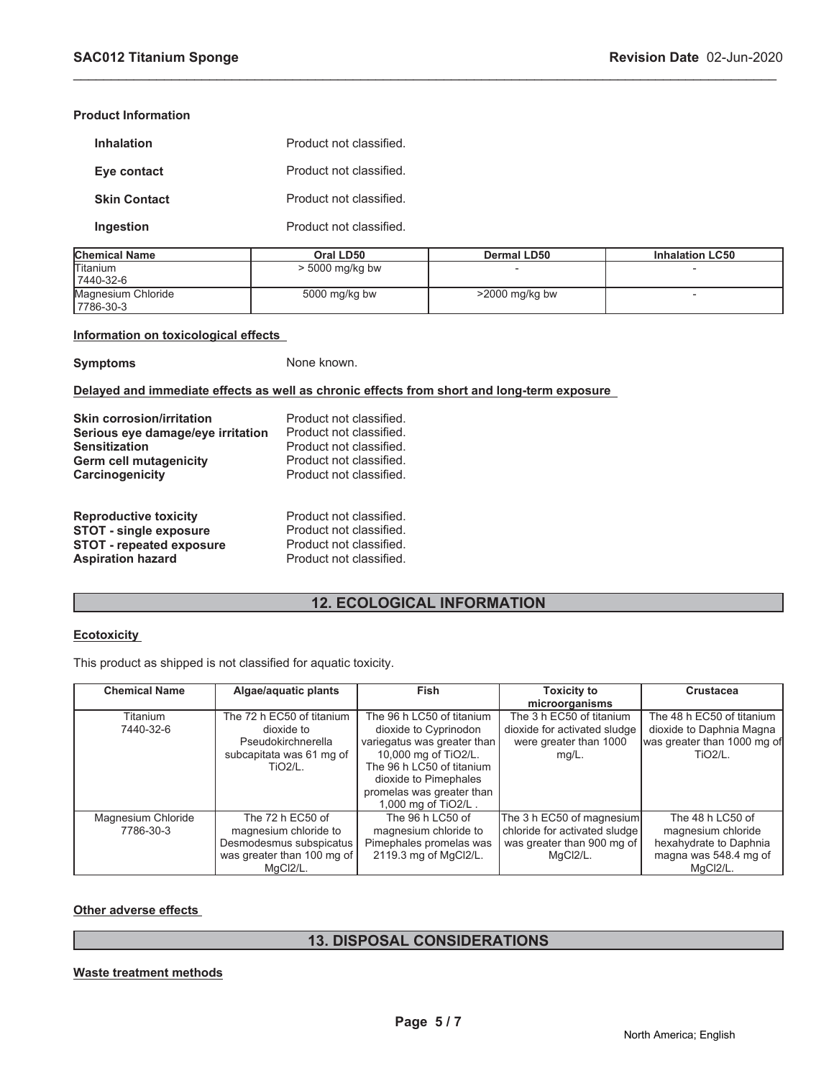#### **Product Information**

| <b>Inhalation</b>   | Product not classified. |
|---------------------|-------------------------|
| Eye contact         | Product not classified. |
| <b>Skin Contact</b> | Product not classified. |
| Ingestion           | Product not classified. |

| <b>Chemical Name</b> | Oral LD50         | Dermal LD50       | <b>Inhalation LC50</b> |
|----------------------|-------------------|-------------------|------------------------|
| <b>Titanium</b>      | $>$ 5000 mg/kg bw |                   |                        |
| 17440-32-6           |                   |                   |                        |
| Magnesium Chloride   | 5000 mg/kg bw     | $>$ 2000 mg/kg bw |                        |
| 17786-30-3           |                   |                   |                        |

\_\_\_\_\_\_\_\_\_\_\_\_\_\_\_\_\_\_\_\_\_\_\_\_\_\_\_\_\_\_\_\_\_\_\_\_\_\_\_\_\_\_\_\_\_\_\_\_\_\_\_\_\_\_\_\_\_\_\_\_\_\_\_\_\_\_\_\_\_\_\_\_\_\_\_\_\_\_\_\_\_\_\_\_\_\_\_\_\_\_\_\_\_

#### **Information on toxicological effects**

**Symptoms** None known.

# **Delayed and immediate effects as well as chronic effects from short and long-term exposure**

| <b>Skin corrosion/irritation</b>  | Product not classified. |
|-----------------------------------|-------------------------|
| Serious eye damage/eye irritation | Product not classified. |
| <b>Sensitization</b>              | Product not classified. |
| Germ cell mutagenicity            | Product not classified. |
| <b>Carcinogenicity</b>            | Product not classified. |
| <b>Reproductive toxicity</b>      | Product not classified. |
| <b>STOT - single exposure</b>     | Product not classified. |
| <b>STOT - repeated exposure</b>   | Product not classified. |
| <b>Aspiration hazard</b>          | Product not classified. |

# **12. ECOLOGICAL INFORMATION**

#### **Ecotoxicity**

This product as shipped is not classified for aquatic toxicity.

| <b>Chemical Name</b> | Algae/aquatic plants       | <b>Fish</b>                 | <b>Toxicity to</b>            | Crustacea                   |
|----------------------|----------------------------|-----------------------------|-------------------------------|-----------------------------|
|                      |                            |                             | microorganisms                |                             |
| Titanium             | The 72 h EC50 of titanium  | The 96 h LC50 of titanium   | The 3 h EC50 of titanium      | The 48 h EC50 of titanium   |
| 7440-32-6            | dioxide to                 | dioxide to Cyprinodon       | dioxide for activated sludge  | dioxide to Daphnia Magna    |
|                      | Pseudokirchnerella         | variegatus was greater than | were greater than 1000        | was greater than 1000 mg of |
|                      | subcapitata was 61 mg of   | 10,000 mg of TiO2/L.        | $mq/L$ .                      | TiO <sub>2</sub> /L.        |
|                      | <b>TiO2/L.</b>             | The 96 h LC50 of titanium   |                               |                             |
|                      |                            | dioxide to Pimephales       |                               |                             |
|                      |                            | promelas was greater than   |                               |                             |
|                      |                            | 1,000 mg of TiO2/L.         |                               |                             |
| Magnesium Chloride   | The 72 h EC50 of           | The 96 h LC50 of            | The 3 h EC50 of magnesium     | The 48 h LC50 of            |
| 7786-30-3            | magnesium chloride to      | magnesium chloride to       | chloride for activated sludge | magnesium chloride          |
|                      | Desmodesmus subspicatus    | Pimephales promelas was     | was greater than 900 mg of    | hexahydrate to Daphnia      |
|                      | was greater than 100 mg of | 2119.3 mg of MgCl2/L.       | MgCl2/L.                      | magna was 548.4 mg of       |
|                      | MaCI2/L.                   |                             |                               | MaCI2/L.                    |

### **Other adverse effects**

# **13. DISPOSAL CONSIDERATIONS**

#### **Waste treatment methods**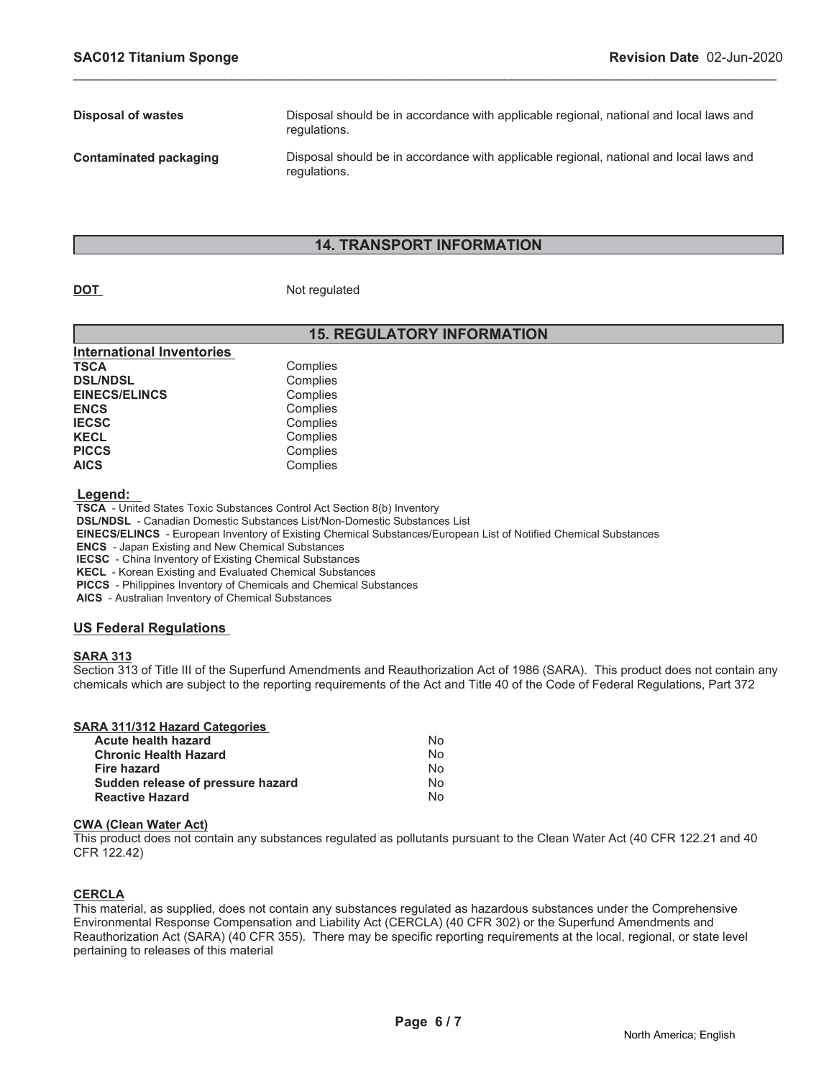| Disposal of wastes     | Disposal should be in accordance with applicable regional, national and local laws and<br>regulations. |
|------------------------|--------------------------------------------------------------------------------------------------------|
| Contaminated packaging | Disposal should be in accordance with applicable regional, national and local laws and<br>regulations. |

\_\_\_\_\_\_\_\_\_\_\_\_\_\_\_\_\_\_\_\_\_\_\_\_\_\_\_\_\_\_\_\_\_\_\_\_\_\_\_\_\_\_\_\_\_\_\_\_\_\_\_\_\_\_\_\_\_\_\_\_\_\_\_\_\_\_\_\_\_\_\_\_\_\_\_\_\_\_\_\_\_\_\_\_\_\_\_\_\_\_\_\_\_

### **14. TRANSPORT INFORMATION**

#### **DOT** Not regulated

# **15. REGULATORY INFORMATION**

| Complies |
|----------|
| Complies |
| Complies |
| Complies |
| Complies |
| Complies |
| Complies |
| Complies |
|          |

 **Legend:** 

 **TSCA** - United States Toxic Substances Control Act Section 8(b) Inventory

 **DSL/NDSL** - Canadian Domestic Substances List/Non-Domestic Substances List

 **EINECS/ELINCS** - European Inventory of Existing Chemical Substances/European List of Notified Chemical Substances

 **ENCS** - Japan Existing and New Chemical Substances

 **IECSC** - China Inventory of Existing Chemical Substances

 **KECL** - Korean Existing and Evaluated Chemical Substances

 **PICCS** - Philippines Inventory of Chemicals and Chemical Substances

 **AICS** - Australian Inventory of Chemical Substances

#### **US Federal Regulations**

#### **SARA 313**

Section 313 of Title III of the Superfund Amendments and Reauthorization Act of 1986 (SARA). This product does not contain any chemicals which are subject to the reporting requirements of the Act and Title 40 of the Code of Federal Regulations, Part 372

### **SARA 311/312 Hazard Categories**

| Acute health hazard               | N٥ |
|-----------------------------------|----|
| Chronic Health Hazard             | Nο |
| Fire hazard                       | N٥ |
| Sudden release of pressure hazard | N٥ |
| <b>Reactive Hazard</b>            | N٥ |

#### **CWA (Clean Water Act)**

This product does not contain any substances regulated as pollutants pursuant to the Clean Water Act (40 CFR 122.21 and 40 CFR 122.42)

#### **CERCLA**

This material, as supplied, does not contain any substances regulated as hazardous substances under the Comprehensive Environmental Response Compensation and Liability Act (CERCLA) (40 CFR 302) or the Superfund Amendments and Reauthorization Act (SARA) (40 CFR 355). There may be specific reporting requirements at the local, regional, or state level pertaining to releases of this material